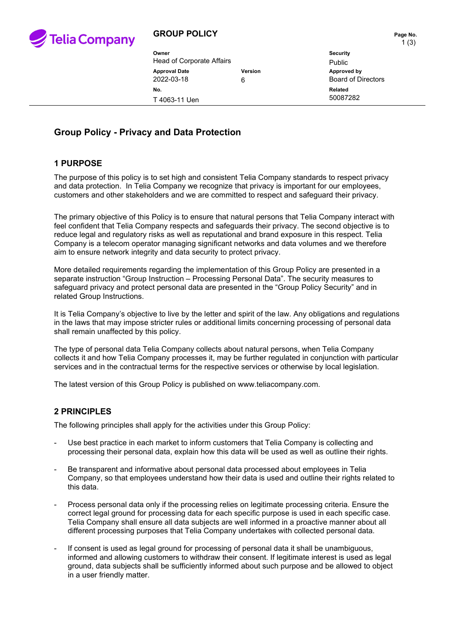

# **GROUP POLICY PAGE 10 Page No.**

1 (3)

| Owner                     | <b>Security</b> |            |
|---------------------------|-----------------|------------|
| Head of Corporate Affairs | Public          |            |
| <b>Approval Date</b>      | Version         | Approved b |
| 2022-03-18                | 6               | Board of D |
| No.                       |                 | Related    |
| T 4063-11 Uen             |                 | 50087282   |

**Security Approval Date Version Approved by Board of Directors** 

# **Group Policy - Privacy and Data Protection**

# **1 PURPOSE**

The purpose of this policy is to set high and consistent Telia Company standards to respect privacy and data protection. In Telia Company we recognize that privacy is important for our employees, customers and other stakeholders and we are committed to respect and safeguard their privacy.

The primary objective of this Policy is to ensure that natural persons that Telia Company interact with feel confident that Telia Company respects and safeguards their privacy. The second objective is to reduce legal and regulatory risks as well as reputational and brand exposure in this respect. Telia Company is a telecom operator managing significant networks and data volumes and we therefore aim to ensure network integrity and data security to protect privacy.

More detailed requirements regarding the implementation of this Group Policy are presented in a separate instruction "Group Instruction – Processing Personal Data". The security measures to safeguard privacy and protect personal data are presented in the "Group Policy Security" and in related Group Instructions.

It is Telia Company's objective to live by the letter and spirit of the law. Any obligations and regulations in the laws that may impose stricter rules or additional limits concerning processing of personal data shall remain unaffected by this policy.

The type of personal data Telia Company collects about natural persons, when Telia Company collects it and how Telia Company processes it, may be further regulated in conjunction with particular services and in the contractual terms for the respective services or otherwise by local legislation.

The latest version of this Group Policy is published on www.teliacompany.com.

# **2 PRINCIPLES**

The following principles shall apply for the activities under this Group Policy:

- Use best practice in each market to inform customers that Telia Company is collecting and processing their personal data, explain how this data will be used as well as outline their rights.
- Be transparent and informative about personal data processed about employees in Telia Company, so that employees understand how their data is used and outline their rights related to this data.
- Process personal data only if the processing relies on legitimate processing criteria. Ensure the correct legal ground for processing data for each specific purpose is used in each specific case. Telia Company shall ensure all data subjects are well informed in a proactive manner about all different processing purposes that Telia Company undertakes with collected personal data.
- If consent is used as legal ground for processing of personal data it shall be unambiguous, informed and allowing customers to withdraw their consent. If legitimate interest is used as legal ground, data subjects shall be sufficiently informed about such purpose and be allowed to object in a user friendly matter.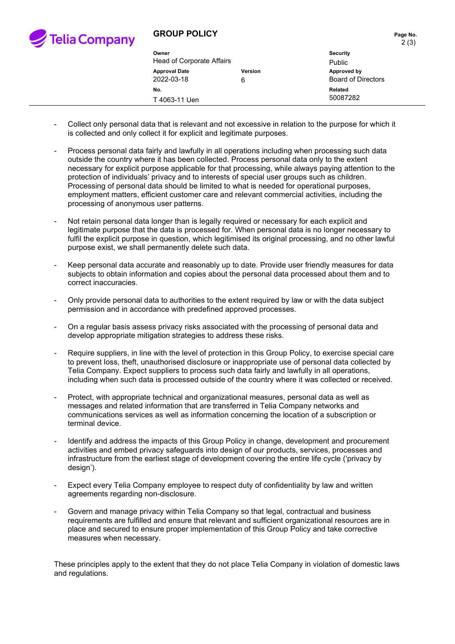

# **GROUP POLICY PAGE 10 Page No.**

| Owner<br><b>Head of Corporate Affairs</b> |              | Security                                 |
|-------------------------------------------|--------------|------------------------------------------|
|                                           |              | Public                                   |
| <b>Approval Date</b><br>2022-03-18        | Version<br>6 | Approved by<br><b>Board of Directors</b> |
| No.                                       |              | Related                                  |
| T 4063-11 Uen                             |              | 50087282                                 |

- Collect only personal data that is relevant and not excessive in relation to the purpose for which it is collected and only collect it for explicit and legitimate purposes.
- Process personal data fairly and lawfully in all operations including when processing such data outside the country where it has been collected. Process personal data only to the extent necessary for explicit purpose applicable for that processing, while always paying attention to the protection of individuals' privacy and to interests of special user groups such as children. Processing of personal data should be limited to what is needed for operational purposes, employment matters, efficient customer care and relevant commercial activities, including the processing of anonymous user patterns.
- Not retain personal data longer than is legally required or necessary for each explicit and legitimate purpose that the data is processed for. When personal data is no longer necessary to fulfil the explicit purpose in question, which legitimised its original processing, and no other lawful purpose exist, we shall permanently delete such data.
- Keep personal data accurate and reasonably up to date. Provide user friendly measures for data subjects to obtain information and copies about the personal data processed about them and to correct inaccuracies.
- Only provide personal data to authorities to the extent required by law or with the data subject permission and in accordance with predefined approved processes.
- On a regular basis assess privacy risks associated with the processing of personal data and develop appropriate mitigation strategies to address these risks.
- Require suppliers, in line with the level of protection in this Group Policy, to exercise special care to prevent loss, theft, unauthorised disclosure or inappropriate use of personal data collected by Telia Company. Expect suppliers to process such data fairly and lawfully in all operations, including when such data is processed outside of the country where it was collected or received.
- Protect, with appropriate technical and organizational measures, personal data as well as messages and related information that are transferred in Telia Company networks and communications services as well as information concerning the location of a subscription or terminal device.
- Identify and address the impacts of this Group Policy in change, development and procurement activities and embed privacy safeguards into design of our products, services, processes and infrastructure from the earliest stage of development covering the entire life cycle ('privacy by design').
- Expect every Telia Company employee to respect duty of confidentiality by law and written agreements regarding non-disclosure.
- Govern and manage privacy within Telia Company so that legal, contractual and business requirements are fulfilled and ensure that relevant and sufficient organizational resources are in place and secured to ensure proper implementation of this Group Policy and take corrective measures when necessary.

These principles apply to the extent that they do not place Telia Company in violation of domestic laws and regulations.